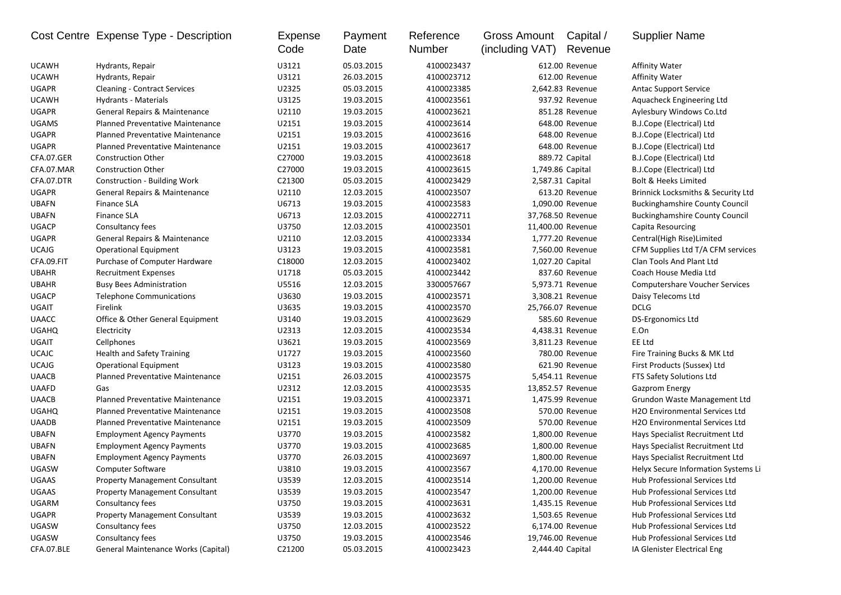|              | Cost Centre Expense Type - Description  | <b>Expense</b><br>Code | Payment<br>Date | Reference<br>Number | <b>Gross Amount</b><br>(including VAT) | Capital /<br>Revenue | <b>Supplier Name</b>                          |
|--------------|-----------------------------------------|------------------------|-----------------|---------------------|----------------------------------------|----------------------|-----------------------------------------------|
| <b>UCAWH</b> | Hydrants, Repair                        | U3121                  | 05.03.2015      | 4100023437          |                                        | 612.00 Revenue       | <b>Affinity Water</b>                         |
| <b>UCAWH</b> | Hydrants, Repair                        | U3121                  | 26.03.2015      | 4100023712          |                                        | 612.00 Revenue       | <b>Affinity Water</b>                         |
| <b>UGAPR</b> | <b>Cleaning - Contract Services</b>     | U2325                  | 05.03.2015      | 4100023385          |                                        | 2,642.83 Revenue     | <b>Antac Support Service</b>                  |
| <b>UCAWH</b> | Hydrants - Materials                    | U3125                  | 19.03.2015      | 4100023561          |                                        | 937.92 Revenue       | Aquacheck Engineering Ltd                     |
| <b>UGAPR</b> | General Repairs & Maintenance           | U2110                  | 19.03.2015      | 4100023621          |                                        | 851.28 Revenue       | Aylesbury Windows Co.Ltd                      |
| <b>UGAMS</b> | Planned Preventative Maintenance        | U2151                  | 19.03.2015      | 4100023614          |                                        | 648.00 Revenue       | B.J.Cope (Electrical) Ltd                     |
| <b>UGAPR</b> | <b>Planned Preventative Maintenance</b> | U2151                  | 19.03.2015      | 4100023616          |                                        | 648.00 Revenue       | B.J.Cope (Electrical) Ltd                     |
| <b>UGAPR</b> | Planned Preventative Maintenance        | U2151                  | 19.03.2015      | 4100023617          |                                        | 648.00 Revenue       | B.J.Cope (Electrical) Ltd                     |
| CFA.07.GER   | <b>Construction Other</b>               | C27000                 | 19.03.2015      | 4100023618          |                                        | 889.72 Capital       | B.J.Cope (Electrical) Ltd                     |
| CFA.07.MAR   | <b>Construction Other</b>               | C27000                 | 19.03.2015      | 4100023615          | 1,749.86 Capital                       |                      | B.J.Cope (Electrical) Ltd                     |
| CFA.07.DTR   | Construction - Building Work            | C21300                 | 05.03.2015      | 4100023429          | 2,587.31 Capital                       |                      | Bolt & Heeks Limited                          |
| <b>UGAPR</b> | General Repairs & Maintenance           | U2110                  | 12.03.2015      | 4100023507          |                                        | 613.20 Revenue       | <b>Brinnick Locksmiths &amp; Security Ltd</b> |
| <b>UBAFN</b> | Finance SLA                             | U6713                  | 19.03.2015      | 4100023583          |                                        | 1,090.00 Revenue     | <b>Buckinghamshire County Council</b>         |
| <b>UBAFN</b> | <b>Finance SLA</b>                      | U6713                  | 12.03.2015      | 4100022711          |                                        | 37,768.50 Revenue    | <b>Buckinghamshire County Council</b>         |
| <b>UGACP</b> | Consultancy fees                        | U3750                  | 12.03.2015      | 4100023501          |                                        | 11,400.00 Revenue    | Capita Resourcing                             |
| <b>UGAPR</b> | General Repairs & Maintenance           | U2110                  | 12.03.2015      | 4100023334          |                                        | 1,777.20 Revenue     | Central(High Rise)Limited                     |
| <b>UCAJG</b> | <b>Operational Equipment</b>            | U3123                  | 19.03.2015      | 4100023581          |                                        | 7,560.00 Revenue     | CFM Supplies Ltd T/A CFM services             |
| CFA.09.FIT   | Purchase of Computer Hardware           | C18000                 | 12.03.2015      | 4100023402          | 1,027.20 Capital                       |                      | Clan Tools And Plant Ltd                      |
| <b>UBAHR</b> | <b>Recruitment Expenses</b>             | U1718                  | 05.03.2015      | 4100023442          |                                        | 837.60 Revenue       | Coach House Media Ltd                         |
| <b>UBAHR</b> | <b>Busy Bees Administration</b>         | U5516                  | 12.03.2015      | 3300057667          |                                        | 5,973.71 Revenue     | <b>Computershare Voucher Services</b>         |
| <b>UGACP</b> | <b>Telephone Communications</b>         | U3630                  | 19.03.2015      | 4100023571          |                                        | 3,308.21 Revenue     | Daisy Telecoms Ltd                            |
| <b>UGAIT</b> | Firelink                                | U3635                  | 19.03.2015      | 4100023570          |                                        | 25,766.07 Revenue    | <b>DCLG</b>                                   |
| <b>UAACC</b> | Office & Other General Equipment        | U3140                  | 19.03.2015      | 4100023629          |                                        | 585.60 Revenue       | DS-Ergonomics Ltd                             |
| <b>UGAHQ</b> | Electricity                             | U2313                  | 12.03.2015      | 4100023534          |                                        | 4,438.31 Revenue     | E.On                                          |
| UGAIT        | Cellphones                              | U3621                  | 19.03.2015      | 4100023569          |                                        | 3,811.23 Revenue     | EE Ltd                                        |
| <b>UCAJC</b> | <b>Health and Safety Training</b>       | U1727                  | 19.03.2015      | 4100023560          |                                        | 780.00 Revenue       | Fire Training Bucks & MK Ltd                  |
| <b>UCAJG</b> | <b>Operational Equipment</b>            | U3123                  | 19.03.2015      | 4100023580          |                                        | 621.90 Revenue       | First Products (Sussex) Ltd                   |
| <b>UAACB</b> | <b>Planned Preventative Maintenance</b> | U2151                  | 26.03.2015      | 4100023575          |                                        | 5,454.11 Revenue     | FTS Safety Solutions Ltd                      |
| <b>UAAFD</b> | Gas                                     | U2312                  | 12.03.2015      | 4100023535          |                                        | 13,852.57 Revenue    | <b>Gazprom Energy</b>                         |
| <b>UAACB</b> | <b>Planned Preventative Maintenance</b> | U2151                  | 19.03.2015      | 4100023371          |                                        | 1,475.99 Revenue     | Grundon Waste Management Ltd                  |
| <b>UGAHQ</b> | Planned Preventative Maintenance        | U2151                  | 19.03.2015      | 4100023508          |                                        | 570.00 Revenue       | H2O Environmental Services Ltd                |
| <b>UAADB</b> | <b>Planned Preventative Maintenance</b> | U2151                  | 19.03.2015      | 4100023509          |                                        | 570.00 Revenue       | H2O Environmental Services Ltd                |
| <b>UBAFN</b> | <b>Employment Agency Payments</b>       | U3770                  | 19.03.2015      | 4100023582          |                                        | 1,800.00 Revenue     | Hays Specialist Recruitment Ltd               |
| <b>UBAFN</b> | <b>Employment Agency Payments</b>       | U3770                  | 19.03.2015      | 4100023685          |                                        | 1,800.00 Revenue     | Hays Specialist Recruitment Ltd               |
| <b>UBAFN</b> | <b>Employment Agency Payments</b>       | U3770                  | 26.03.2015      | 4100023697          |                                        | 1,800.00 Revenue     | Hays Specialist Recruitment Ltd               |
| <b>UGASW</b> | Computer Software                       | U3810                  | 19.03.2015      | 4100023567          |                                        | 4,170.00 Revenue     | Helyx Secure Information Systems Li           |
| UGAAS        | <b>Property Management Consultant</b>   | U3539                  | 12.03.2015      | 4100023514          |                                        | 1,200.00 Revenue     | Hub Professional Services Ltd                 |
| UGAAS        | <b>Property Management Consultant</b>   | U3539                  | 19.03.2015      | 4100023547          |                                        | 1,200.00 Revenue     | Hub Professional Services Ltd                 |
| UGARM        | Consultancy fees                        | U3750                  | 19.03.2015      | 4100023631          |                                        | 1,435.15 Revenue     | Hub Professional Services Ltd                 |
| <b>UGAPR</b> | <b>Property Management Consultant</b>   | U3539                  | 19.03.2015      | 4100023632          |                                        | 1,503.65 Revenue     | Hub Professional Services Ltd                 |
| UGASW        | Consultancy fees                        | U3750                  | 12.03.2015      | 4100023522          |                                        | 6,174.00 Revenue     | Hub Professional Services Ltd                 |
| UGASW        | Consultancy fees                        | U3750                  | 19.03.2015      | 4100023546          |                                        | 19,746.00 Revenue    | Hub Professional Services Ltd                 |
| CFA.07.BLE   | General Maintenance Works (Capital)     | C21200                 | 05.03.2015      | 4100023423          | 2,444.40 Capital                       |                      | IA Glenister Electrical Eng                   |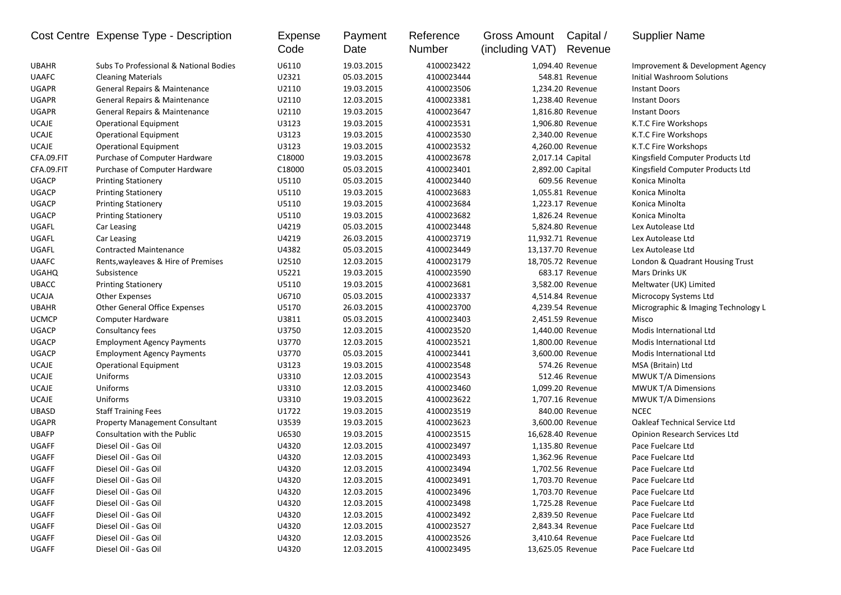|              | Cost Centre Expense Type - Description   | Expense<br>Code | Payment<br>Date | Reference<br>Number | <b>Gross Amount</b><br>(including VAT) | Capital /<br>Revenue | <b>Supplier Name</b>                 |
|--------------|------------------------------------------|-----------------|-----------------|---------------------|----------------------------------------|----------------------|--------------------------------------|
| <b>UBAHR</b> | Subs To Professional & National Bodies   | U6110           | 19.03.2015      | 4100023422          |                                        | 1,094.40 Revenue     | Improvement & Development Agency     |
| <b>UAAFC</b> | <b>Cleaning Materials</b>                | U2321           | 05.03.2015      | 4100023444          |                                        | 548.81 Revenue       | Initial Washroom Solutions           |
| <b>UGAPR</b> | <b>General Repairs &amp; Maintenance</b> | U2110           | 19.03.2015      | 4100023506          |                                        | 1,234.20 Revenue     | <b>Instant Doors</b>                 |
| <b>UGAPR</b> | General Repairs & Maintenance            | U2110           | 12.03.2015      | 4100023381          |                                        | 1,238.40 Revenue     | <b>Instant Doors</b>                 |
| <b>UGAPR</b> | General Repairs & Maintenance            | U2110           | 19.03.2015      | 4100023647          |                                        | 1,816.80 Revenue     | <b>Instant Doors</b>                 |
| <b>UCAJE</b> | <b>Operational Equipment</b>             | U3123           | 19.03.2015      | 4100023531          |                                        | 1,906.80 Revenue     | K.T.C Fire Workshops                 |
| <b>UCAJE</b> | <b>Operational Equipment</b>             | U3123           | 19.03.2015      | 4100023530          |                                        | 2,340.00 Revenue     | K.T.C Fire Workshops                 |
| <b>UCAJE</b> | <b>Operational Equipment</b>             | U3123           | 19.03.2015      | 4100023532          |                                        | 4,260.00 Revenue     | K.T.C Fire Workshops                 |
| CFA.09.FIT   | Purchase of Computer Hardware            | C18000          | 19.03.2015      | 4100023678          | 2,017.14 Capital                       |                      | Kingsfield Computer Products Ltd     |
| CFA.09.FIT   | Purchase of Computer Hardware            | C18000          | 05.03.2015      | 4100023401          | 2,892.00 Capital                       |                      | Kingsfield Computer Products Ltd     |
| <b>UGACP</b> | <b>Printing Stationery</b>               | U5110           | 05.03.2015      | 4100023440          |                                        | 609.56 Revenue       | Konica Minolta                       |
| <b>UGACP</b> | <b>Printing Stationery</b>               | U5110           | 19.03.2015      | 4100023683          |                                        | 1,055.81 Revenue     | Konica Minolta                       |
| <b>UGACP</b> | <b>Printing Stationery</b>               | U5110           | 19.03.2015      | 4100023684          |                                        | 1,223.17 Revenue     | Konica Minolta                       |
| <b>UGACP</b> | <b>Printing Stationery</b>               | U5110           | 19.03.2015      | 4100023682          |                                        | 1,826.24 Revenue     | Konica Minolta                       |
| UGAFL        | Car Leasing                              | U4219           | 05.03.2015      | 4100023448          |                                        | 5,824.80 Revenue     | Lex Autolease Ltd                    |
| UGAFL        | Car Leasing                              | U4219           | 26.03.2015      | 4100023719          |                                        | 11,932.71 Revenue    | Lex Autolease Ltd                    |
| UGAFL        | <b>Contracted Maintenance</b>            | U4382           | 05.03.2015      | 4100023449          |                                        | 13,137.70 Revenue    | Lex Autolease Ltd                    |
| <b>UAAFC</b> | Rents, wayleaves & Hire of Premises      | U2510           | 12.03.2015      | 4100023179          |                                        | 18,705.72 Revenue    | London & Quadrant Housing Trust      |
| <b>UGAHQ</b> | Subsistence                              | U5221           | 19.03.2015      | 4100023590          |                                        | 683.17 Revenue       | Mars Drinks UK                       |
| <b>UBACC</b> | <b>Printing Stationery</b>               | U5110           | 19.03.2015      | 4100023681          |                                        | 3,582.00 Revenue     | Meltwater (UK) Limited               |
| <b>UCAJA</b> | <b>Other Expenses</b>                    | U6710           | 05.03.2015      | 4100023337          |                                        | 4,514.84 Revenue     | Microcopy Systems Ltd                |
| <b>UBAHR</b> | <b>Other General Office Expenses</b>     | U5170           | 26.03.2015      | 4100023700          |                                        | 4,239.54 Revenue     | Micrographic & Imaging Technology L  |
| <b>UCMCP</b> | Computer Hardware                        | U3811           | 05.03.2015      | 4100023403          |                                        | 2,451.59 Revenue     | Misco                                |
| <b>UGACP</b> | Consultancy fees                         | U3750           | 12.03.2015      | 4100023520          |                                        | 1,440.00 Revenue     | Modis International Ltd              |
| <b>UGACP</b> | <b>Employment Agency Payments</b>        | U3770           | 12.03.2015      | 4100023521          |                                        | 1,800.00 Revenue     | Modis International Ltd              |
| <b>UGACP</b> | <b>Employment Agency Payments</b>        | U3770           | 05.03.2015      | 4100023441          |                                        | 3,600.00 Revenue     | Modis International Ltd              |
| <b>UCAJE</b> | <b>Operational Equipment</b>             | U3123           | 19.03.2015      | 4100023548          |                                        | 574.26 Revenue       | MSA (Britain) Ltd                    |
| <b>UCAJE</b> | Uniforms                                 | U3310           | 12.03.2015      | 4100023543          |                                        | 512.46 Revenue       | MWUK T/A Dimensions                  |
| <b>UCAJE</b> | Uniforms                                 | U3310           | 12.03.2015      | 4100023460          |                                        | 1,099.20 Revenue     | <b>MWUK T/A Dimensions</b>           |
| <b>UCAJE</b> | Uniforms                                 | U3310           | 19.03.2015      | 4100023622          |                                        | 1,707.16 Revenue     | <b>MWUK T/A Dimensions</b>           |
| <b>UBASD</b> | <b>Staff Training Fees</b>               | U1722           | 19.03.2015      | 4100023519          |                                        | 840.00 Revenue       | <b>NCEC</b>                          |
| <b>UGAPR</b> | <b>Property Management Consultant</b>    | U3539           | 19.03.2015      | 4100023623          |                                        | 3,600.00 Revenue     | <b>Oakleaf Technical Service Ltd</b> |
| <b>UBAFP</b> | Consultation with the Public             | U6530           | 19.03.2015      | 4100023515          | 16,628.40 Revenue                      |                      | Opinion Research Services Ltd        |
| <b>UGAFF</b> | Diesel Oil - Gas Oil                     | U4320           | 12.03.2015      | 4100023497          |                                        | 1.135.80 Revenue     | Pace Fuelcare Ltd                    |
| <b>UGAFF</b> | Diesel Oil - Gas Oil                     | U4320           | 12.03.2015      | 4100023493          |                                        | 1,362.96 Revenue     | Pace Fuelcare Ltd                    |
| <b>UGAFF</b> | Diesel Oil - Gas Oil                     | U4320           | 12.03.2015      | 4100023494          |                                        | 1,702.56 Revenue     | Pace Fuelcare Ltd                    |
| UGAFF        | Diesel Oil - Gas Oil                     | U4320           | 12.03.2015      | 4100023491          |                                        | 1,703.70 Revenue     | Pace Fuelcare Ltd                    |
| <b>UGAFF</b> | Diesel Oil - Gas Oil                     | U4320           | 12.03.2015      | 4100023496          |                                        | 1,703.70 Revenue     | Pace Fuelcare Ltd                    |
| UGAFF        | Diesel Oil - Gas Oil                     | U4320           | 12.03.2015      | 4100023498          |                                        | 1,725.28 Revenue     | Pace Fuelcare Ltd                    |
| UGAFF        | Diesel Oil - Gas Oil                     | U4320           | 12.03.2015      | 4100023492          |                                        | 2,839.50 Revenue     | Pace Fuelcare Ltd                    |
| UGAFF        | Diesel Oil - Gas Oil                     | U4320           | 12.03.2015      | 4100023527          |                                        | 2,843.34 Revenue     | Pace Fuelcare Ltd                    |
| UGAFF        | Diesel Oil - Gas Oil                     | U4320           | 12.03.2015      | 4100023526          |                                        | 3,410.64 Revenue     | Pace Fuelcare Ltd                    |
| UGAFF        | Diesel Oil - Gas Oil                     | U4320           | 12.03.2015      | 4100023495          | 13,625.05 Revenue                      |                      | Pace Fuelcare Ltd                    |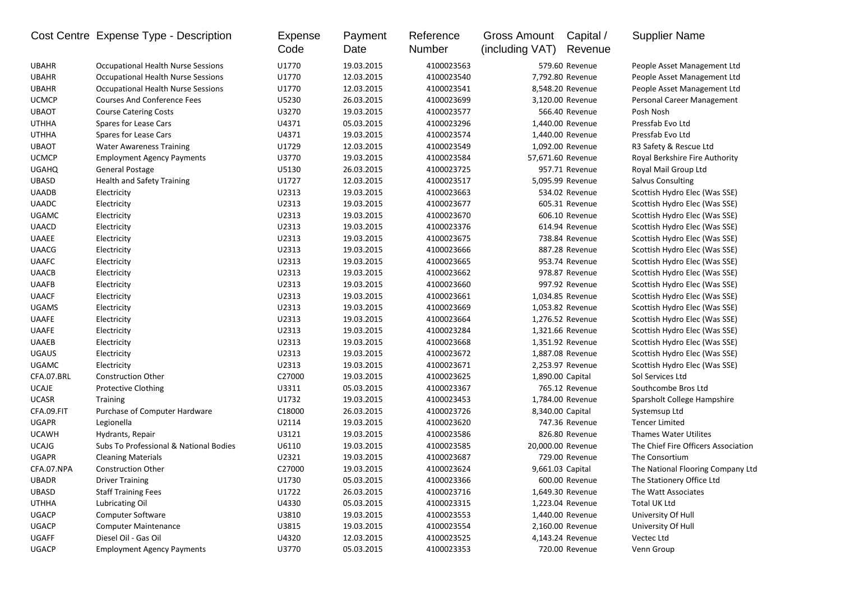|              | Cost Centre Expense Type - Description    | Expense<br>Code | Payment<br>Date | Reference<br>Number | <b>Gross Amount</b><br>(including VAT) | Capital /<br>Revenue | <b>Supplier Name</b>                |
|--------------|-------------------------------------------|-----------------|-----------------|---------------------|----------------------------------------|----------------------|-------------------------------------|
| <b>UBAHR</b> | <b>Occupational Health Nurse Sessions</b> | U1770           | 19.03.2015      | 4100023563          |                                        | 579.60 Revenue       | People Asset Management Ltd         |
| <b>UBAHR</b> | <b>Occupational Health Nurse Sessions</b> | U1770           | 12.03.2015      | 4100023540          |                                        | 7,792.80 Revenue     | People Asset Management Ltd         |
| <b>UBAHR</b> | <b>Occupational Health Nurse Sessions</b> | U1770           | 12.03.2015      | 4100023541          |                                        | 8,548.20 Revenue     | People Asset Management Ltd         |
| <b>UCMCP</b> | <b>Courses And Conference Fees</b>        | U5230           | 26.03.2015      | 4100023699          |                                        | 3,120.00 Revenue     | Personal Career Management          |
| <b>UBAOT</b> | <b>Course Catering Costs</b>              | U3270           | 19.03.2015      | 4100023577          |                                        | 566.40 Revenue       | Posh Nosh                           |
| <b>UTHHA</b> | Spares for Lease Cars                     | U4371           | 05.03.2015      | 4100023296          |                                        | 1,440.00 Revenue     | Pressfab Evo Ltd                    |
| <b>UTHHA</b> | <b>Spares for Lease Cars</b>              | U4371           | 19.03.2015      | 4100023574          |                                        | 1,440.00 Revenue     | Pressfab Evo Ltd                    |
| <b>UBAOT</b> | <b>Water Awareness Training</b>           | U1729           | 12.03.2015      | 4100023549          |                                        | 1,092.00 Revenue     | R3 Safety & Rescue Ltd              |
| <b>UCMCP</b> | <b>Employment Agency Payments</b>         | U3770           | 19.03.2015      | 4100023584          | 57,671.60 Revenue                      |                      | Royal Berkshire Fire Authority      |
| <b>UGAHQ</b> | <b>General Postage</b>                    | U5130           | 26.03.2015      | 4100023725          |                                        | 957.71 Revenue       | Royal Mail Group Ltd                |
| <b>UBASD</b> | <b>Health and Safety Training</b>         | U1727           | 12.03.2015      | 4100023517          |                                        | 5,095.99 Revenue     | <b>Salvus Consulting</b>            |
| <b>UAADB</b> | Electricity                               | U2313           | 19.03.2015      | 4100023663          |                                        | 534.02 Revenue       | Scottish Hydro Elec (Was SSE)       |
| <b>UAADC</b> | Electricity                               | U2313           | 19.03.2015      | 4100023677          |                                        | 605.31 Revenue       | Scottish Hydro Elec (Was SSE)       |
| <b>UGAMC</b> | Electricity                               | U2313           | 19.03.2015      | 4100023670          |                                        | 606.10 Revenue       | Scottish Hydro Elec (Was SSE)       |
| <b>UAACD</b> | Electricity                               | U2313           | 19.03.2015      | 4100023376          |                                        | 614.94 Revenue       | Scottish Hydro Elec (Was SSE)       |
| <b>UAAEE</b> | Electricity                               | U2313           | 19.03.2015      | 4100023675          |                                        | 738.84 Revenue       | Scottish Hydro Elec (Was SSE)       |
| <b>UAACG</b> | Electricity                               | U2313           | 19.03.2015      | 4100023666          |                                        | 887.28 Revenue       | Scottish Hydro Elec (Was SSE)       |
| <b>UAAFC</b> | Electricity                               | U2313           | 19.03.2015      | 4100023665          |                                        | 953.74 Revenue       | Scottish Hydro Elec (Was SSE)       |
| <b>UAACB</b> | Electricity                               | U2313           | 19.03.2015      | 4100023662          |                                        | 978.87 Revenue       | Scottish Hydro Elec (Was SSE)       |
| <b>UAAFB</b> | Electricity                               | U2313           | 19.03.2015      | 4100023660          |                                        | 997.92 Revenue       | Scottish Hydro Elec (Was SSE)       |
| <b>UAACF</b> | Electricity                               | U2313           | 19.03.2015      | 4100023661          |                                        | 1,034.85 Revenue     | Scottish Hydro Elec (Was SSE)       |
| <b>UGAMS</b> | Electricity                               | U2313           | 19.03.2015      | 4100023669          |                                        | 1,053.82 Revenue     | Scottish Hydro Elec (Was SSE)       |
| <b>UAAFE</b> | Electricity                               | U2313           | 19.03.2015      | 4100023664          |                                        | 1,276.52 Revenue     | Scottish Hydro Elec (Was SSE)       |
| <b>UAAFE</b> | Electricity                               | U2313           | 19.03.2015      | 4100023284          |                                        | 1,321.66 Revenue     | Scottish Hydro Elec (Was SSE)       |
| <b>UAAEB</b> | Electricity                               | U2313           | 19.03.2015      | 4100023668          |                                        | 1,351.92 Revenue     | Scottish Hydro Elec (Was SSE)       |
| <b>UGAUS</b> | Electricity                               | U2313           | 19.03.2015      | 4100023672          |                                        | 1,887.08 Revenue     | Scottish Hydro Elec (Was SSE)       |
| <b>UGAMC</b> | Electricity                               | U2313           | 19.03.2015      | 4100023671          |                                        | 2,253.97 Revenue     | Scottish Hydro Elec (Was SSE)       |
| CFA.07.BRL   | <b>Construction Other</b>                 | C27000          | 19.03.2015      | 4100023625          | 1,890.00 Capital                       |                      | Sol Services Ltd                    |
| <b>UCAJE</b> | <b>Protective Clothing</b>                | U3311           | 05.03.2015      | 4100023367          |                                        | 765.12 Revenue       | Southcombe Bros Ltd                 |
| <b>UCASR</b> | <b>Training</b>                           | U1732           | 19.03.2015      | 4100023453          |                                        | 1,784.00 Revenue     | Sparsholt College Hampshire         |
| CFA.09.FIT   | Purchase of Computer Hardware             | C18000          | 26.03.2015      | 4100023726          | 8,340.00 Capital                       |                      | Systemsup Ltd                       |
| <b>UGAPR</b> | Legionella                                | U2114           | 19.03.2015      | 4100023620          |                                        | 747.36 Revenue       | <b>Tencer Limited</b>               |
| <b>UCAWH</b> | Hydrants, Repair                          | U3121           | 19.03.2015      | 4100023586          |                                        | 826.80 Revenue       | <b>Thames Water Utilites</b>        |
| <b>UCAJG</b> | Subs To Professional & National Bodies    | U6110           | 19.03.2015      | 4100023585          | 20,000.00 Revenue                      |                      | The Chief Fire Officers Association |
| <b>UGAPR</b> | <b>Cleaning Materials</b>                 | U2321           | 19.03.2015      | 4100023687          |                                        | 729.00 Revenue       | The Consortium                      |
| CFA.07.NPA   | <b>Construction Other</b>                 | C27000          | 19.03.2015      | 4100023624          | 9,661.03 Capital                       |                      | The National Flooring Company Ltd   |
| <b>UBADR</b> | <b>Driver Training</b>                    | U1730           | 05.03.2015      | 4100023366          |                                        | 600.00 Revenue       | The Stationery Office Ltd           |
| UBASD        | <b>Staff Training Fees</b>                | U1722           | 26.03.2015      | 4100023716          |                                        | 1,649.30 Revenue     | The Watt Associates                 |
| <b>UTHHA</b> | Lubricating Oil                           | U4330           | 05.03.2015      | 4100023315          |                                        | 1,223.04 Revenue     | Total UK Ltd                        |
| UGACP        | <b>Computer Software</b>                  | U3810           | 19.03.2015      | 4100023553          |                                        | 1,440.00 Revenue     | University Of Hull                  |
| UGACP        | <b>Computer Maintenance</b>               | U3815           | 19.03.2015      | 4100023554          |                                        | 2,160.00 Revenue     | University Of Hull                  |
| UGAFF        | Diesel Oil - Gas Oil                      | U4320           | 12.03.2015      | 4100023525          |                                        | 4,143.24 Revenue     | Vectec Ltd                          |
| UGACP        | <b>Employment Agency Payments</b>         | U3770           | 05.03.2015      | 4100023353          |                                        | 720.00 Revenue       | Venn Group                          |